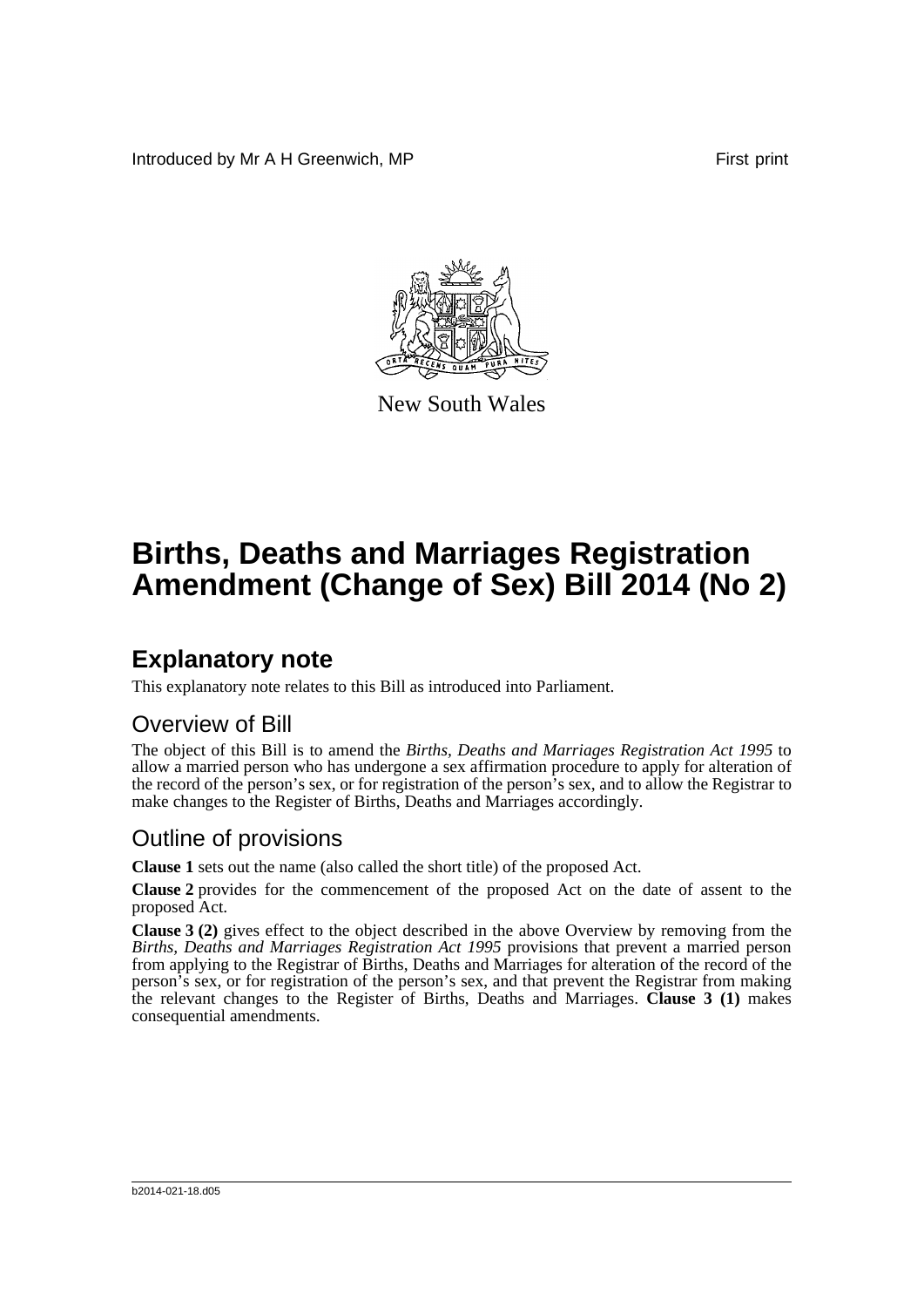Introduced by Mr A H Greenwich, MP **First** print



New South Wales

# **Births, Deaths and Marriages Registration Amendment (Change of Sex) Bill 2014 (No 2)**

## **Explanatory note**

This explanatory note relates to this Bill as introduced into Parliament.

#### Overview of Bill

The object of this Bill is to amend the *Births, Deaths and Marriages Registration Act 1995* to allow a married person who has undergone a sex affirmation procedure to apply for alteration of the record of the person's sex, or for registration of the person's sex, and to allow the Registrar to make changes to the Register of Births, Deaths and Marriages accordingly.

#### Outline of provisions

**Clause 1** sets out the name (also called the short title) of the proposed Act.

**Clause 2** provides for the commencement of the proposed Act on the date of assent to the proposed Act.

**Clause 3 (2)** gives effect to the object described in the above Overview by removing from the *Births, Deaths and Marriages Registration Act 1995* provisions that prevent a married person from applying to the Registrar of Births, Deaths and Marriages for alteration of the record of the person's sex, or for registration of the person's sex, and that prevent the Registrar from making the relevant changes to the Register of Births, Deaths and Marriages. **Clause 3 (1)** makes consequential amendments.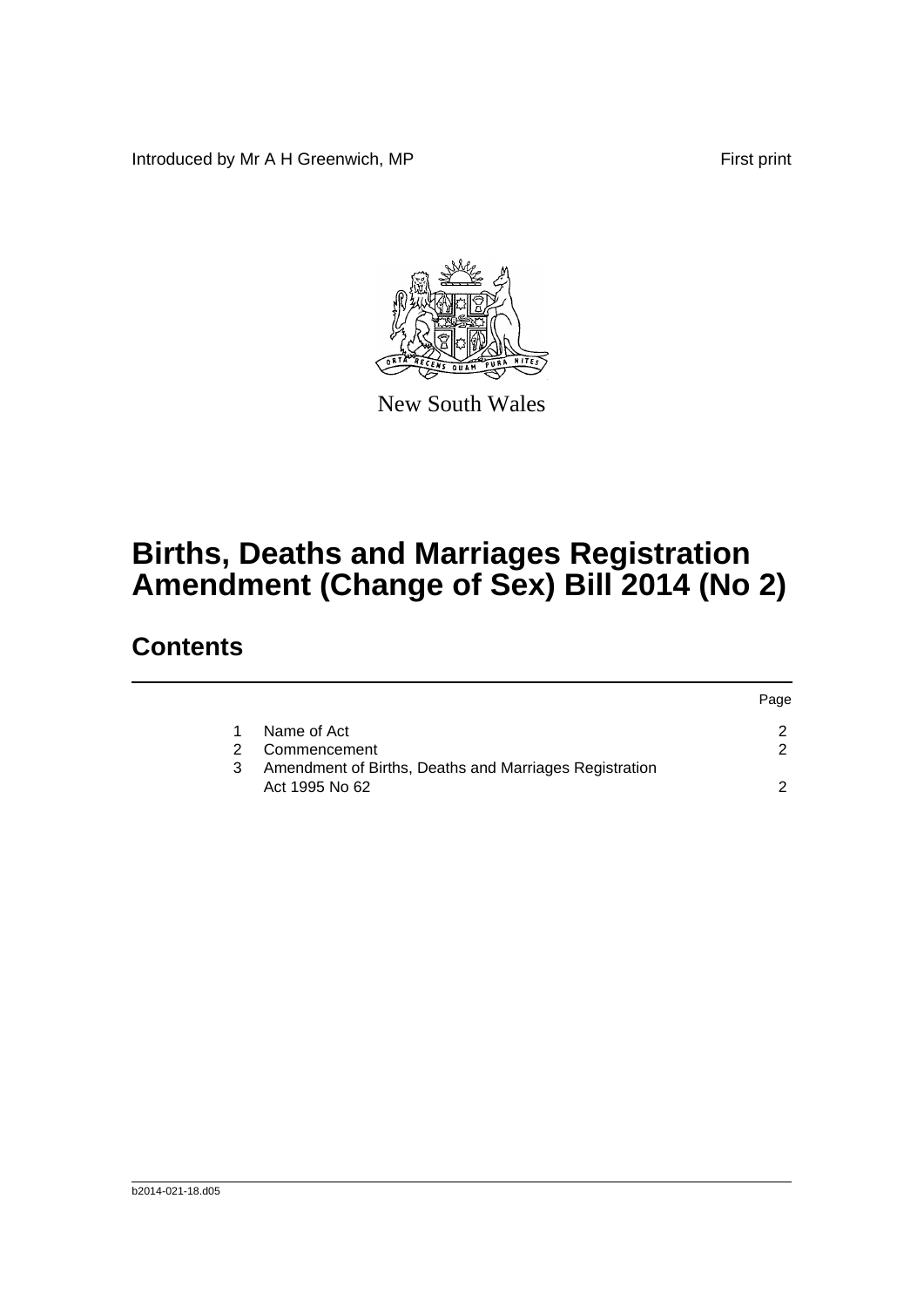Introduced by Mr A H Greenwich, MP First print



New South Wales

# **Births, Deaths and Marriages Registration Amendment (Change of Sex) Bill 2014 (No 2)**

### **Contents**

|    |                                                                          | Page |
|----|--------------------------------------------------------------------------|------|
| 1. | Name of Act                                                              |      |
|    | Commencement                                                             |      |
| 3  | Amendment of Births, Deaths and Marriages Registration<br>Act 1995 No 62 |      |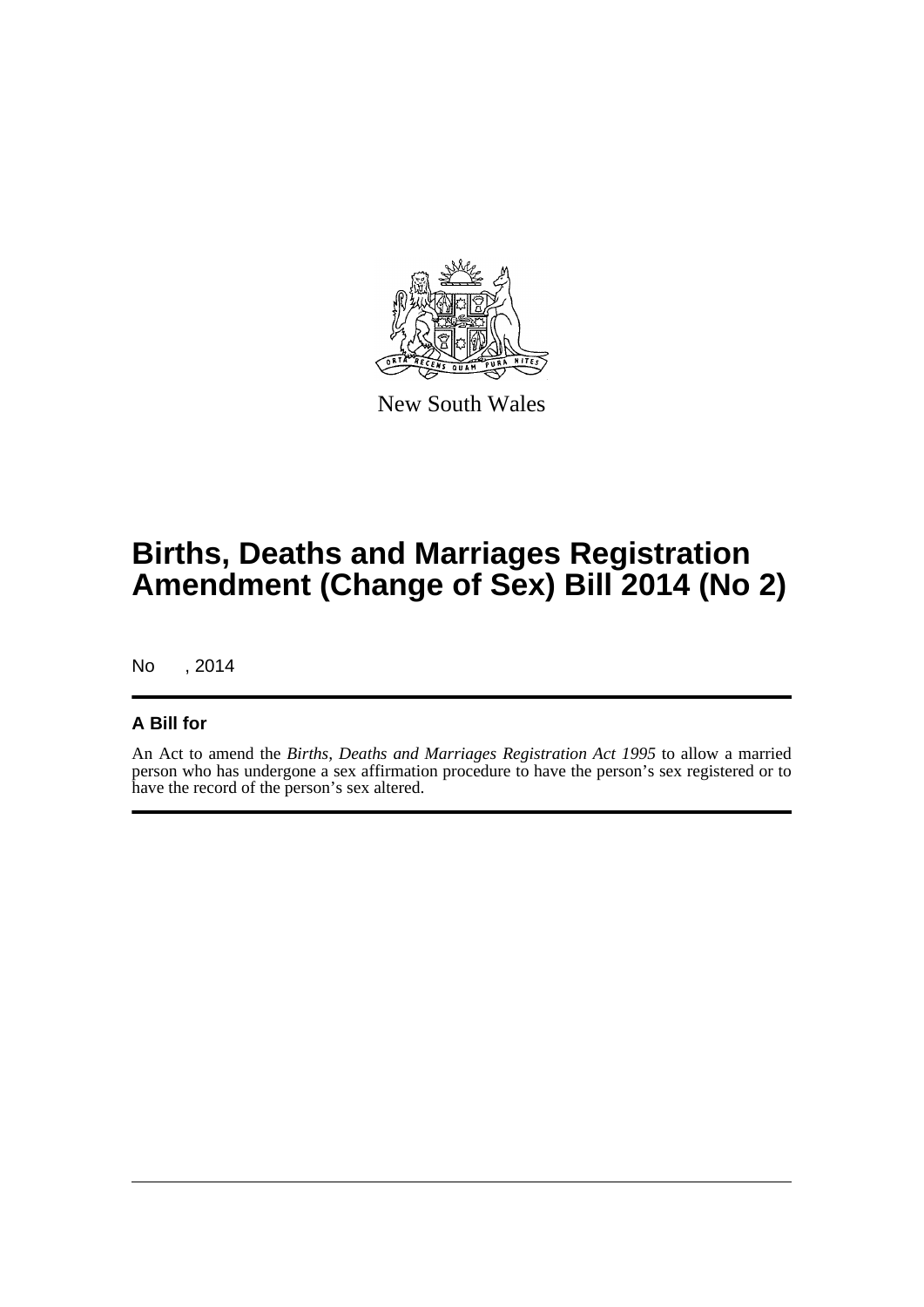

New South Wales

# **Births, Deaths and Marriages Registration Amendment (Change of Sex) Bill 2014 (No 2)**

No , 2014

#### **A Bill for**

An Act to amend the *Births, Deaths and Marriages Registration Act 1995* to allow a married person who has undergone a sex affirmation procedure to have the person's sex registered or to have the record of the person's sex altered.